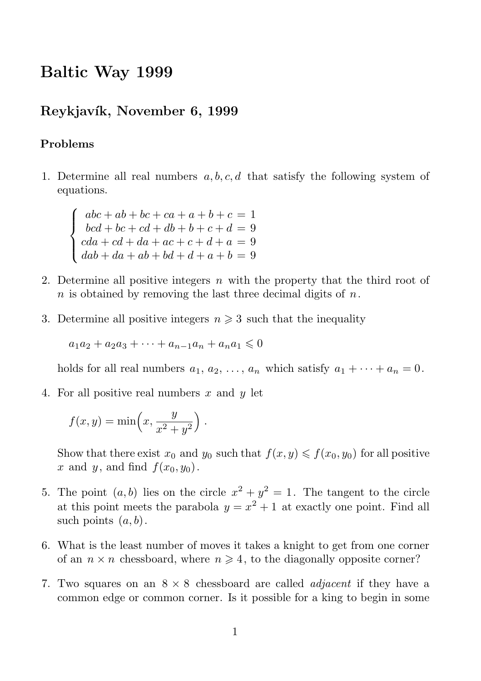## Baltic Way 1999

## Reykjavík, November 6, 1999

## Problems

 $\sqrt{ }$  $\int$ 

 $\overline{\mathcal{L}}$ 

1. Determine all real numbers  $a, b, c, d$  that satisfy the following system of equations.

 $abc + ab + bc + ca + a + b + c = 1$  $bcd + bc + cd + db + b + c + d = 9$  $cda + cd + da + ac + c + d + a = 9$  $dab + da + ab + bd + d + a + b = 9$ 

- 2. Determine all positive integers  $n$  with the property that the third root of n is obtained by removing the last three decimal digits of  $n$ .
- 3. Determine all positive integers  $n \geq 3$  such that the inequality

 $a_1a_2 + a_2a_3 + \cdots + a_{n-1}a_n + a_na_1 \leq 0$ 

holds for all real numbers  $a_1, a_2, \ldots, a_n$  which satisfy  $a_1 + \cdots + a_n = 0$ .

4. For all positive real numbers  $x$  and  $y$  let

$$
f(x,y) = \min\left(x, \frac{y}{x^2 + y^2}\right).
$$

Show that there exist  $x_0$  and  $y_0$  such that  $f(x, y) \leq f(x_0, y_0)$  for all positive x and y, and find  $f(x_0, y_0)$ .

- 5. The point  $(a, b)$  lies on the circle  $x^2 + y^2 = 1$ . The tangent to the circle at this point meets the parabola  $y = x^2 + 1$  at exactly one point. Find all such points  $(a, b)$ .
- 6. What is the least number of moves it takes a knight to get from one corner of an  $n \times n$  chessboard, where  $n \geq 4$ , to the diagonally opposite corner?
- 7. Two squares on an  $8 \times 8$  chessboard are called *adjacent* if they have a common edge or common corner. Is it possible for a king to begin in some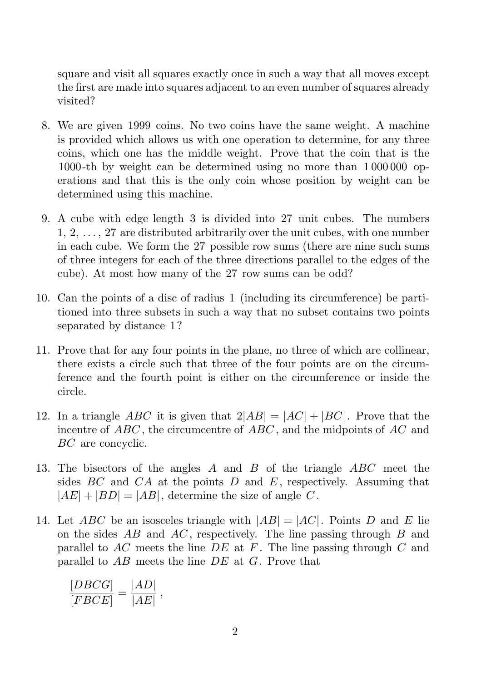square and visit all squares exactly once in such a way that all moves except the first are made into squares adjacent to an even number of squares already visited?

- 8. We are given 1999 coins. No two coins have the same weight. A machine is provided which allows us with one operation to determine, for any three coins, which one has the middle weight. Prove that the coin that is the 1000-th by weight can be determined using no more than 1 000 000 operations and that this is the only coin whose position by weight can be determined using this machine.
- 9. A cube with edge length 3 is divided into 27 unit cubes. The numbers 1, 2, . . . , 27 are distributed arbitrarily over the unit cubes, with one number in each cube. We form the 27 possible row sums (there are nine such sums of three integers for each of the three directions parallel to the edges of the cube). At most how many of the 27 row sums can be odd?
- 10. Can the points of a disc of radius 1 (including its circumference) be partitioned into three subsets in such a way that no subset contains two points separated by distance 1?
- 11. Prove that for any four points in the plane, no three of which are collinear, there exists a circle such that three of the four points are on the circumference and the fourth point is either on the circumference or inside the circle.
- 12. In a triangle ABC it is given that  $2|AB| = |AC| + |BC|$ . Prove that the incentre of ABC , the circumcentre of ABC , and the midpoints of AC and BC are concyclic.
- 13. The bisectors of the angles  $A$  and  $B$  of the triangle  $ABC$  meet the sides  $BC$  and  $CA$  at the points  $D$  and  $E$ , respectively. Assuming that  $|AE| + |BD| = |AB|$ , determine the size of angle C.
- 14. Let ABC be an isosceles triangle with  $|AB| = |AC|$ . Points D and E lie on the sides  $AB$  and  $AC$ , respectively. The line passing through  $B$  and parallel to  $AC$  meets the line  $DE$  at F. The line passing through C and parallel to  $AB$  meets the line  $DE$  at  $G$ . Prove that

$$
\frac{[DBCG]}{[FBCE]} = \frac{|AD|}{|AE|},
$$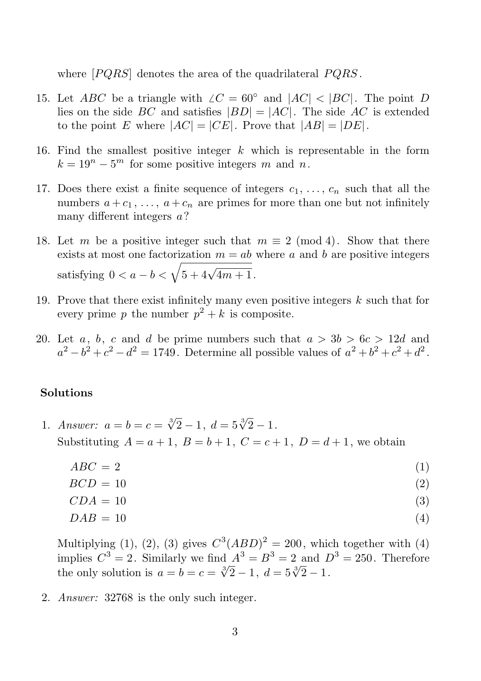where  $[PQRS]$  denotes the area of the quadrilateral  $PQRS$ .

- 15. Let *ABC* be a triangle with  $\angle C = 60^{\circ}$  and  $|AC| < |BC|$ . The point *D* lies on the side BC and satisfies  $|BD| = |AC|$ . The side AC is extended to the point E where  $|AC| = |CE|$ . Prove that  $|AB| = |DE|$ .
- 16. Find the smallest positive integer  $k$  which is representable in the form  $k = 19<sup>n</sup> - 5<sup>m</sup>$  for some positive integers m and n.
- 17. Does there exist a finite sequence of integers  $c_1, \ldots, c_n$  such that all the numbers  $a + c_1, \ldots, a + c_n$  are primes for more than one but not infinitely many different integers  $a$ ?
- 18. Let m be a positive integer such that  $m \equiv 2 \pmod{4}$ . Show that there exists at most one factorization  $m = ab$  where a and b are positive integers satisfying  $0 < a - b < \sqrt{5 + 4\sqrt{4m + 1}}$ .
- 19. Prove that there exist infinitely many even positive integers  $k$  such that for every prime p the number  $p^2 + k$  is composite.
- 20. Let a, b, c and d be prime numbers such that  $a > 3b > 6c > 12d$  and  $a^2 - b^2 + c^2 - d^2 = 1749$ . Determine all possible values of  $a^2 + b^2 + c^2 + d^2$ .

## Solutions

- 1. Answer:  $a = b = c = \sqrt[3]{2} 1$ ,  $d = 5\sqrt[3]{2} 1$ . Substituting  $A = a + 1$ ,  $B = b + 1$ ,  $C = c + 1$ ,  $D = d + 1$ , we obtain
	- $ABC = 2$  (1)
	- $BCD = 10$  (2)

$$
CDA = 10 \tag{3}
$$

 $DAB = 10$  (4)

Multiplying (1), (2), (3) gives  $C^3(ABD)^2 = 200$ , which together with (4) implies  $C^3 = 2$ . Similarly we find  $A^3 = B^3 = 2$  and  $D^3 = 250$ . Therefore the only solution is  $a = b = c = \sqrt[3]{2} - 1$ ,  $d = 5\sqrt[3]{2} - 1$ .

2. Answer: 32768 is the only such integer.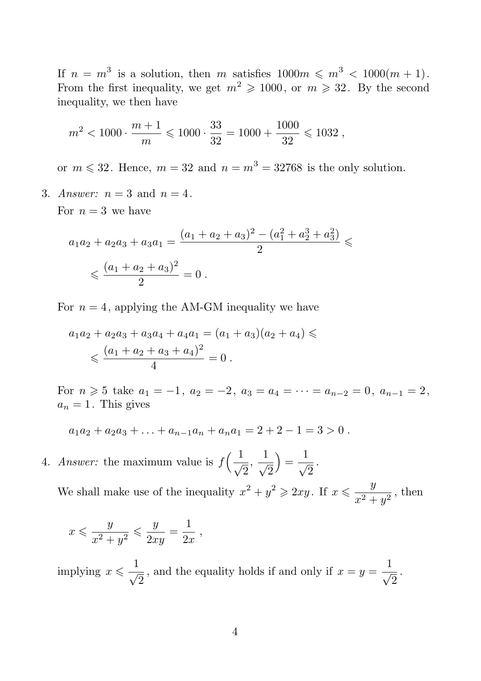If  $n = m^3$  is a solution, then m satisfies  $1000m \leq m^3 < 1000(m + 1)$ . From the first inequality, we get  $m^2 \geq 1000$ , or  $m \geq 32$ . By the second inequality, we then have

$$
m^2 < 1000 \cdot \frac{m+1}{m} \leqslant 1000 \cdot \frac{33}{32} = 1000 + \frac{1000}{32} \leqslant 1032 \ ,
$$

or  $m \le 32$ . Hence,  $m = 32$  and  $n = m^3 = 32768$  is the only solution.

3. Answer:  $n = 3$  and  $n = 4$ .

For  $n=3$  we have

$$
a_1a_2 + a_2a_3 + a_3a_1 = \frac{(a_1 + a_2 + a_3)^2 - (a_1^2 + a_2^3 + a_3^2)}{2} \le
$$
  

$$
\le \frac{(a_1 + a_2 + a_3)^2}{2} = 0.
$$

For  $n = 4$ , applying the AM-GM inequality we have

$$
a_1a_2 + a_2a_3 + a_3a_4 + a_4a_1 = (a_1 + a_3)(a_2 + a_4) \le
$$
  

$$
\leqslant \frac{(a_1 + a_2 + a_3 + a_4)^2}{4} = 0.
$$

For  $n \ge 5$  take  $a_1 = -1$ ,  $a_2 = -2$ ,  $a_3 = a_4 = \cdots = a_{n-2} = 0$ ,  $a_{n-1} = 2$ ,  $a_n = 1$ . This gives

$$
a_1a_2 + a_2a_3 + \ldots + a_{n-1}a_n + a_na_1 = 2 + 2 - 1 = 3 > 0.
$$

4. Answer: the maximum value is  $f\left(\frac{1}{\sqrt{2}},\frac{1}{\sqrt{2}}\right)$  $\sqrt{2}$  $) = \frac{1}{2}$  $\frac{1}{\sqrt{2}}$ .

We shall make use of the inequality  $x^2 + y^2 \geqslant 2xy$ . If  $x \leqslant \frac{y}{2}$  $\frac{y}{x^2+y^2}$ , then

$$
x \leqslant \frac{y}{x^2 + y^2} \leqslant \frac{y}{2xy} = \frac{1}{2x},
$$

implying  $x \leqslant \frac{1}{4}$  $\frac{1}{\sqrt{2}}$ , and the equality holds if and only if  $x = y = \frac{1}{\sqrt{2}}$  $\frac{1}{\sqrt{2}}$ .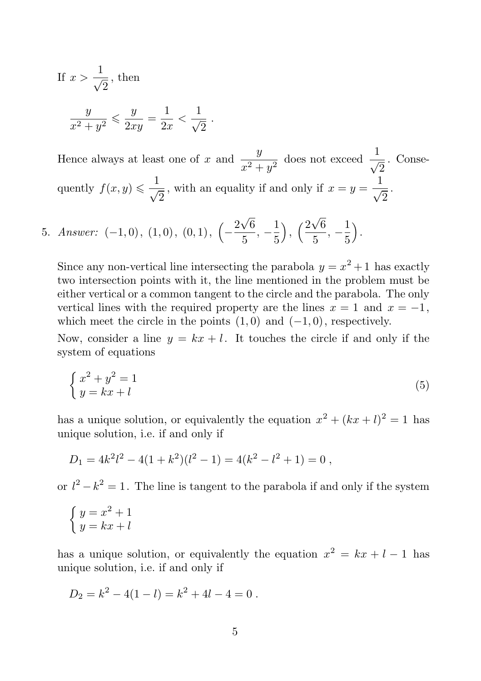If 
$$
x > \frac{1}{\sqrt{2}}
$$
, then  

$$
\frac{y}{x^2 + y^2} \le \frac{y}{2xy} = \frac{1}{2x} < \frac{1}{\sqrt{2}}
$$

Hence always at least one of x and  $\frac{y}{x^2 + y^2}$  does not exceed  $\frac{1}{\sqrt{2}}$ . Consequently  $f(x, y) \leqslant \frac{1}{4}$  $\frac{1}{\sqrt{2}}$ , with an equality if and only if  $x = y = \frac{1}{\sqrt{2}}$  $\frac{1}{\sqrt{2}}$ .

5. Answer: 
$$
(-1,0)
$$
,  $(1,0)$ ,  $(0,1)$ ,  $\left(-\frac{2\sqrt{6}}{5}, -\frac{1}{5}\right)$ ,  $\left(\frac{2\sqrt{6}}{5}, -\frac{1}{5}\right)$ .

.

Since any non-vertical line intersecting the parabola  $y = x^2 + 1$  has exactly two intersection points with it, the line mentioned in the problem must be either vertical or a common tangent to the circle and the parabola. The only vertical lines with the required property are the lines  $x = 1$  and  $x = -1$ , which meet the circle in the points  $(1, 0)$  and  $(-1, 0)$ , respectively.

Now, consider a line  $y = kx + l$ . It touches the circle if and only if the system of equations

$$
\begin{cases}\nx^2 + y^2 = 1 \\
y = kx + l\n\end{cases} \tag{5}
$$

has a unique solution, or equivalently the equation  $x^2 + (kx + l)^2 = 1$  has unique solution, i.e. if and only if

$$
D_1 = 4k^2l^2 - 4(1+k^2)(l^2 - 1) = 4(k^2 - l^2 + 1) = 0,
$$

or  $l^2 - k^2 = 1$ . The line is tangent to the parabola if and only if the system

$$
\begin{cases}\ny = x^2 + 1 \\
y = kx + l\n\end{cases}
$$

has a unique solution, or equivalently the equation  $x^2 = kx + l - 1$  has unique solution, i.e. if and only if

$$
D_2 = k^2 - 4(1 - l) = k^2 + 4l - 4 = 0.
$$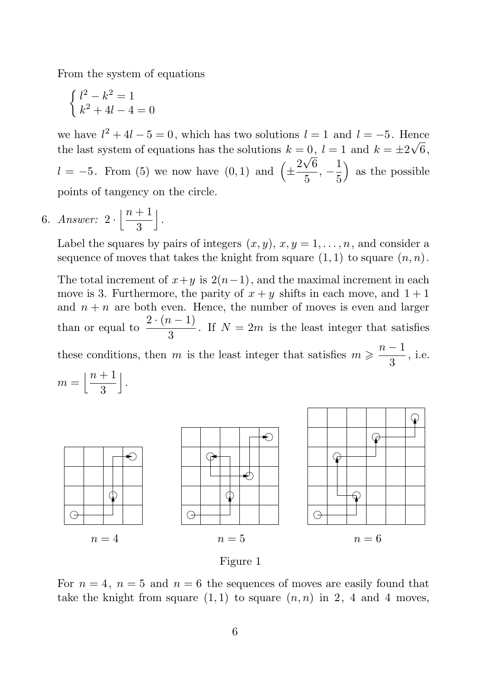From the system of equations

$$
\begin{cases}\nl^2 - k^2 = 1 \\
k^2 + 4l - 4 = 0\n\end{cases}
$$

we have  $l^2 + 4l - 5 = 0$ , which has two solutions  $l = 1$  and  $l = -5$ . Hence the last system of equations has the solutions  $k = 0$ ,  $l = 1$  and  $k = \pm 2\sqrt{6}$ ,  $l = -5$ . From (5) we now have  $(0,1)$  and  $\left(\pm \right)$  $2\sqrt{6}$  $\frac{\sqrt{6}}{5}, -\frac{1}{5}$ 5 ) as the possible points of tangency on the circle.

6. Answer:  $2 \cdot \left| \frac{n+1}{3} \right|$ 3  $\vert$ .

> Label the squares by pairs of integers  $(x, y)$ ,  $x, y = 1, \ldots, n$ , and consider a sequence of moves that takes the knight from square  $(1, 1)$  to square  $(n, n)$ .

> The total increment of  $x+y$  is  $2(n-1)$ , and the maximal increment in each move is 3. Furthermore, the parity of  $x + y$  shifts in each move, and  $1 + 1$ and  $n + n$  are both even. Hence, the number of moves is even and larger than or equal to  $\frac{2 \cdot (n-1)}{2}$  $\frac{1}{3}$ . If  $N = 2m$  is the least integer that satisfies these conditions, then m is the least integer that satisfies  $m \geqslant \frac{n-1}{2}$  $\frac{1}{3}$ , i.e.







For  $n = 4$ ,  $n = 5$  and  $n = 6$  the sequences of moves are easily found that take the knight from square  $(1, 1)$  to square  $(n, n)$  in 2, 4 and 4 moves,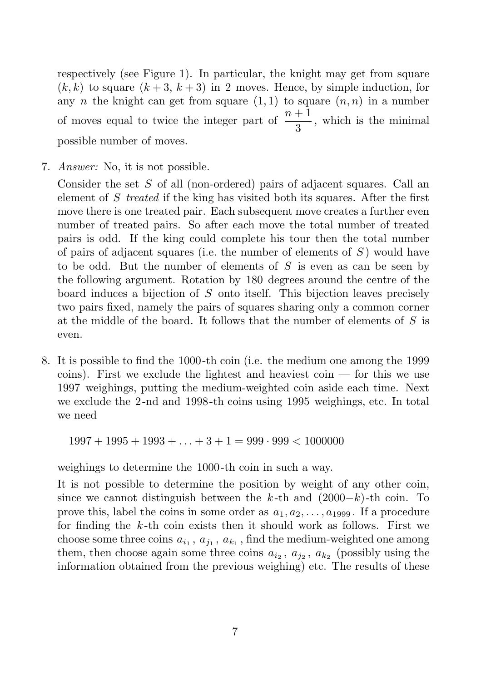respectively (see Figure 1). In particular, the knight may get from square  $(k, k)$  to square  $(k+3, k+3)$  in 2 moves. Hence, by simple induction, for any n the knight can get from square  $(1,1)$  to square  $(n,n)$  in a number of moves equal to twice the integer part of  $\frac{n+1}{3}$ , which is the minimal possible number of moves.

7. Answer: No, it is not possible.

Consider the set S of all (non-ordered) pairs of adjacent squares. Call an element of S treated if the king has visited both its squares. After the first move there is one treated pair. Each subsequent move creates a further even number of treated pairs. So after each move the total number of treated pairs is odd. If the king could complete his tour then the total number of pairs of adjacent squares (i.e. the number of elements of  $S$ ) would have to be odd. But the number of elements of  $S$  is even as can be seen by the following argument. Rotation by 180 degrees around the centre of the board induces a bijection of S onto itself. This bijection leaves precisely two pairs fixed, namely the pairs of squares sharing only a common corner at the middle of the board. It follows that the number of elements of  $S$  is even.

8. It is possible to find the 1000-th coin (i.e. the medium one among the 1999 coins). First we exclude the lightest and heaviest coin — for this we use 1997 weighings, putting the medium-weighted coin aside each time. Next we exclude the 2-nd and 1998-th coins using 1995 weighings, etc. In total we need

 $1997 + 1995 + 1993 + \ldots + 3 + 1 = 999 \cdot 999 < 1000000$ 

weighings to determine the 1000-th coin in such a way.

It is not possible to determine the position by weight of any other coin, since we cannot distinguish between the k-th and  $(2000-k)$ -th coin. To prove this, label the coins in some order as  $a_1, a_2, \ldots, a_{1999}$ . If a procedure for finding the  $k$ -th coin exists then it should work as follows. First we choose some three coins  $a_{i_1}, a_{j_1}, a_{k_1}$ , find the medium-weighted one among them, then choose again some three coins  $a_{i_2}, a_{j_2}, a_{k_2}$  (possibly using the information obtained from the previous weighing) etc. The results of these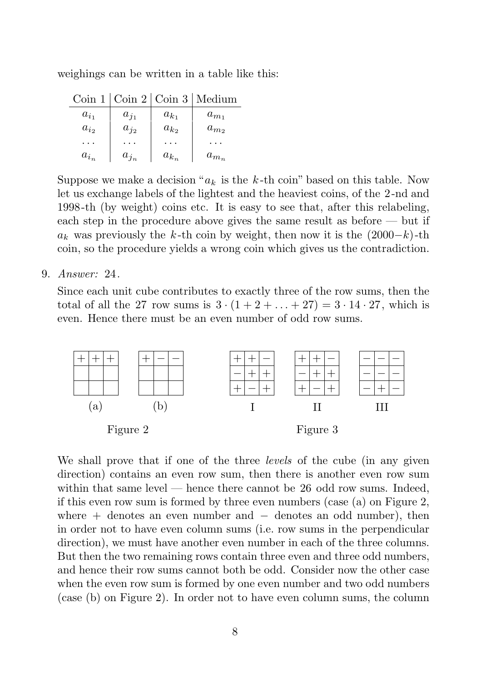weighings can be written in a table like this:

| $\operatorname{Coin} 1$ |           |           | $\lfloor \text{Coin } 2 \rfloor$ Coin 3   Medium |
|-------------------------|-----------|-----------|--------------------------------------------------|
| $a_{i_1}$               | $a_{j_1}$ | $a_{k_1}$ | $a_{m_1}$                                        |
| $a_{i_2}$               | $a_{j_2}$ | $a_{k_2}$ | $a_{m_2}$                                        |
|                         |           |           |                                                  |
| $a_{i_n}$               | $a_{j_n}$ | $a_{k_n}$ | $a_{m_n}$                                        |

Suppose we make a decision " $a_k$  is the k-th coin" based on this table. Now let us exchange labels of the lightest and the heaviest coins, of the 2-nd and 1998-th (by weight) coins etc. It is easy to see that, after this relabeling, each step in the procedure above gives the same result as before — but if  $a_k$  was previously the k-th coin by weight, then now it is the  $(2000-k)$ -th coin, so the procedure yields a wrong coin which gives us the contradiction.

9. Answer: 24.

Since each unit cube contributes to exactly three of the row sums, then the total of all the 27 row sums is  $3 \cdot (1 + 2 + ... + 27) = 3 \cdot 14 \cdot 27$ , which is even. Hence there must be an even number of odd row sums.



We shall prove that if one of the three *levels* of the cube (in any given direction) contains an even row sum, then there is another even row sum within that same level  $-$  hence there cannot be 26 odd row sums. Indeed, if this even row sum is formed by three even numbers (case (a) on Figure 2, where  $+$  denotes an even number and  $-$  denotes an odd number), then in order not to have even column sums (i.e. row sums in the perpendicular direction), we must have another even number in each of the three columns. But then the two remaining rows contain three even and three odd numbers, and hence their row sums cannot both be odd. Consider now the other case when the even row sum is formed by one even number and two odd numbers (case (b) on Figure 2). In order not to have even column sums, the column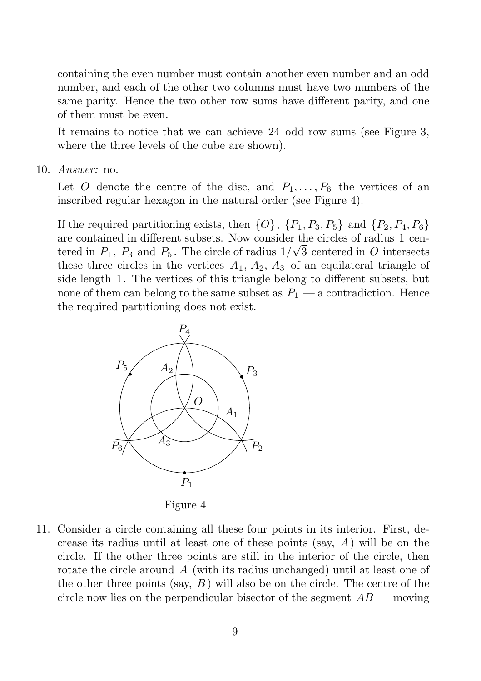containing the even number must contain another even number and an odd number, and each of the other two columns must have two numbers of the same parity. Hence the two other row sums have different parity, and one of them must be even.

It remains to notice that we can achieve 24 odd row sums (see Figure 3, where the three levels of the cube are shown).

10. Answer: no.

Let O denote the centre of the disc, and  $P_1, \ldots, P_6$  the vertices of an inscribed regular hexagon in the natural order (see Figure 4).

If the required partitioning exists, then  $\{O\}$ ,  $\{P_1, P_3, P_5\}$  and  $\{P_2, P_4, P_6\}$ are contained in different subsets. Now consider the circles of radius 1 centered in  $P_1$ ,  $P_3$  and  $P_5$ . The circle of radius  $1/\sqrt{3}$  centered in O intersects these three circles in the vertices  $A_1$ ,  $A_2$ ,  $A_3$  of an equilateral triangle of side length 1. The vertices of this triangle belong to different subsets, but none of them can belong to the same subset as  $P_1$  — a contradiction. Hence

PSfrag replacements<br>the required partitioning does not exist.



Figure 4

11. Consider a circle containing all these four points in its interior. First, decrease its radius until at least one of these points (say,  $A$ ) will be on the circle. If the other three points are still in the interior of the circle, then rotate the circle around A (with its radius unchanged) until at least one of the other three points (say,  $B$ ) will also be on the circle. The centre of the circle now lies on the perpendicular bisector of the segment  $AB$  — moving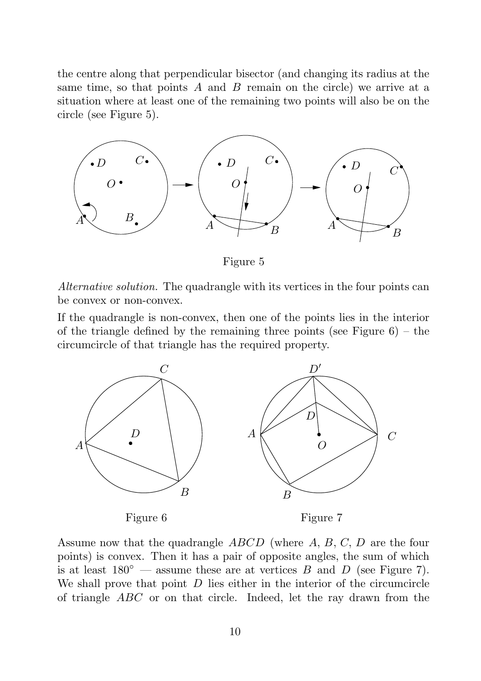$n = 4$  $n = 5$  $n = 6$  $P_1$ 

 $P<sub>2</sub>$ 

 $tRg$  centre along that perpendicular bisector (and changing its radius at the same time, so that points A and B remain on the circle) we arrive at a sRuation where at least one of the remaining two points will also be on the  $c$ **R** $c$ cle (see Figure 5).



 $\mathcal{A}$  derrative solution. The quadrangle with its vertices in the four points can  $b_{\text{th}}$  convex or non-convex.

 $M\#$ the quadrangle is non-convex, then one of the points lies in the interior  $\mathbf{a}$  is the triangle defined by the remaining three points (see Figure 6) – the circumcircle of that triangle has the required property.



Assume now that the quadrangle  $ABCD$  (where  $A, B, C, D$  are the four points) is convex. Then it has a pair of opposite angles, the sum of which is at least  $180^{\circ}$  — assume these are at vertices B and D (see Figure 7). We shall prove that point  $D$  lies either in the interior of the circumcircle of triangle ABC or on that circle. Indeed, let the ray drawn from the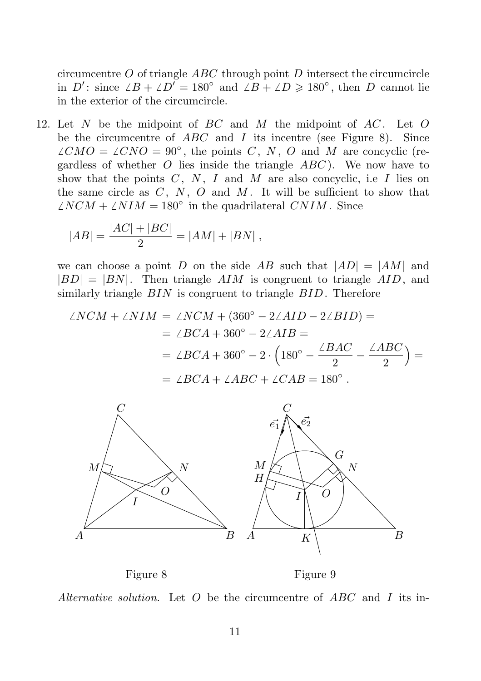g replacements

n  $\vec{e}$  and  $\vec{e}$  are  $\vec{e}$  of triangle  $ABC$  through point D intersect the circumcircle  $n \text{ m5}$ : since  $\angle B + \angle D' = 180^\circ$  and  $\angle B + \angle D \geq 180^\circ$ , then D cannot lie  $n \neq 6$ the exterior of the circumcircle.  $P_1$ 

12. Ipet N be the midpoint of BC and M the midpoint of AC. Let O b<sub> $P_3$ </sub> the circumcentre of  $ABC$  and I its incentre (see Figure 8). Since  $\oint \widetilde{\mathcal{A}}_1^{\widetilde{C}} M O = \angle C N O = 90^\circ$ , the points C, N, O and M are concyclic (regag dless of whether O lies inside the triangle  $ABC$ ). We now have to show that the points  $C, N, I$  and  $M$  are also concyclic, i.e  $I$  lies on  $\mathbf{t}$  the same circle as C, N, O and M. It will be sufficient to show that  $\mathbb{A}$  $\mathbb{A}$  $\mathbb{A}$  $\mathbb{A}$  $\mathbb{A}$  +  $\mathbb{A}$   $\mathbb{M}$  = 180° in the quadrilateral CNIM. Since

$$
\frac{A_3}{QAB} = \frac{|AC| + |BC|}{2} = |AM| + |BN|,
$$
  
*A*

we can choose a point D on the side AB such that  $|AD| = |AM|$  and  $|\mathcal{B}_D| = |BN|$ . Then triangle  $AIM$  is congruent to triangle  $AID$ , and similarly triangle  $BIN$  is congruent to triangle  $BID$ . Therefore  $\Omega$ 

$$
\angle KNCM + \angle NIM = \angle NCM + (360^{\circ} - 2\angle AID - 2\angle BID) =
$$
\n
$$
B = \angle BCA + 360^{\circ} - 2\angle AIB =
$$
\n
$$
C = \angle BCA + 360^{\circ} - 2 \cdot (180^{\circ} - \frac{\angle BAC}{2} - \frac{\angle ABC}{2}) =
$$
\n
$$
D' = \angle BCA + \angle ABC + \angle CAB = 180^{\circ}.
$$



Figure 8 Figure 9

Alternative solution. Let O be the circumcentre of ABC and I its in-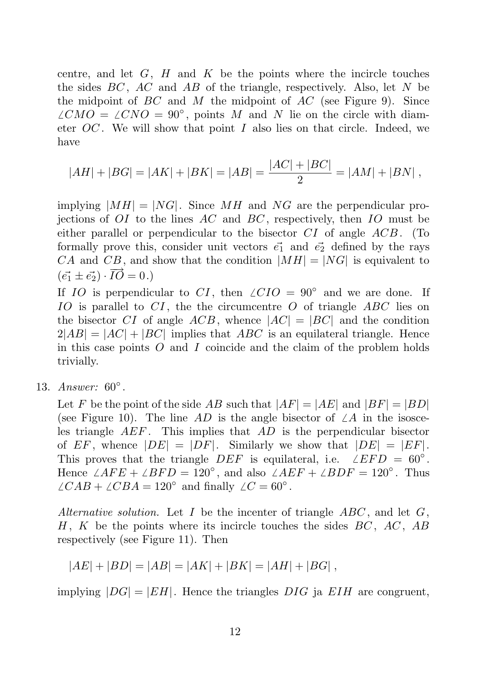centre, and let  $G$ ,  $H$  and  $K$  be the points where the incircle touches the sides  $BC$ ,  $AC$  and  $AB$  of the triangle, respectively. Also, let  $N$  be the midpoint of  $BC$  and  $M$  the midpoint of  $AC$  (see Figure 9). Since  $\angle CMO = \angle CNO = 90^{\circ}$ , points M and N lie on the circle with diameter  $OC$ . We will show that point I also lies on that circle. Indeed, we have

$$
|AH| + |BG| = |AK| + |BK| = |AB| = \frac{|AC| + |BC|}{2} = |AM| + |BN|,
$$

implying  $|MH| = |NG|$ . Since MH and NG are the perpendicular projections of  $OI$  to the lines  $AC$  and  $BC$ , respectively, then  $IO$  must be either parallel or perpendicular to the bisector  $CI$  of angle  $ACB$ . (To formally prove this, consider unit vectors  $\vec{e_1}$  and  $\vec{e_2}$  defined by the rays CA and CB, and show that the condition  $|MH| = |NG|$  is equivalent to  $(\vec{e_1} \pm \vec{e_2}) \cdot \overrightarrow{IO} = 0.$ 

If IO is perpendicular to CI, then  $\angle CIO = 90°$  and we are done. If IO is parallel to  $CI$ , the the circumcentre O of triangle ABC lies on the bisector CI of angle  $ACB$ , whence  $|AC| = |BC|$  and the condition  $2|AB| = |AC| + |BC|$  implies that ABC is an equilateral triangle. Hence in this case points  $O$  and  $I$  coincide and the claim of the problem holds trivially.

13. Answer: 60°.

Let F be the point of the side AB such that  $|AF| = |AE|$  and  $|BF| = |BD|$ (see Figure 10). The line AD is the angle bisector of  $\angle A$  in the isosceles triangle AEF . This implies that AD is the perpendicular bisector of EF, whence  $|DE| = |DF|$ . Similarly we show that  $|DE| = |EF|$ . This proves that the triangle DEF is equilateral, i.e.  $\angle EFD = 60^{\circ}$ . Hence  $\angle AFE + \angle BFD = 120^\circ$ , and also  $\angle AEF + \angle BDF = 120^\circ$ . Thus  $\angle CAB + \angle CBA = 120^{\circ}$  and finally  $\angle C = 60^{\circ}$ .

Alternative solution. Let  $I$  be the incenter of triangle  $ABC$ , and let  $G$ , H, K be the points where its incircle touches the sides  $BC$ ,  $AC$ ,  $AB$ respectively (see Figure 11). Then

$$
|AE| + |BD| = |AB| = |AK| + |BK| = |AH| + |BG|,
$$

implying  $|DG| = |EH|$ . Hence the triangles DIG ja EIH are congruent,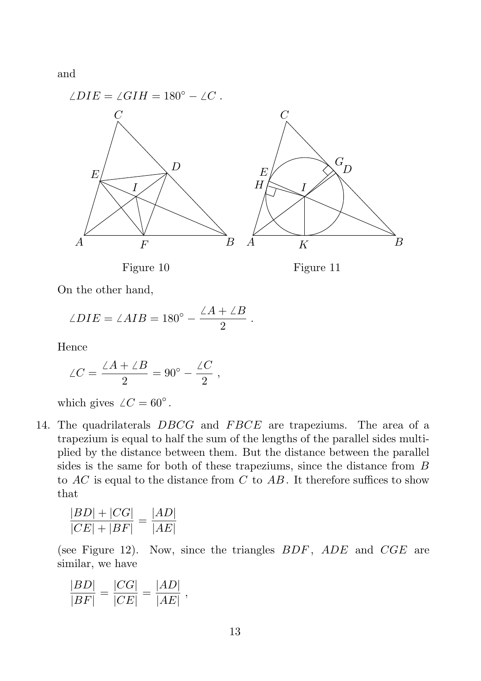

On the other hand,

$$
\angle DIE = \angle AIB = 180^{\circ} - \frac{\angle A + \angle B}{2}.
$$

Hence

$$
\angle C = \frac{\angle A + \angle B}{2} = 90^{\circ} - \frac{\angle C}{2} ,
$$

which gives  $\angle C = 60^\circ$ .

14. The quadrilaterals DBCG and FBCE are trapeziums. The area of a trapezium is equal to half the sum of the lengths of the parallel sides multiplied by the distance between them. But the distance between the parallel sides is the same for both of these trapeziums, since the distance from B to  $AC$  is equal to the distance from  $C$  to  $AB$ . It therefore suffices to show that

$$
\frac{|BD| + |CG|}{|CE| + |BF|} = \frac{|AD|}{|AE|}
$$

(see Figure 12). Now, since the triangles  $BDF$ ,  $ADE$  and  $CGE$  are similar, we have

$$
\frac{|BD|}{|BF|} = \frac{|CG|}{|CE|} = \frac{|AD|}{|AE|},
$$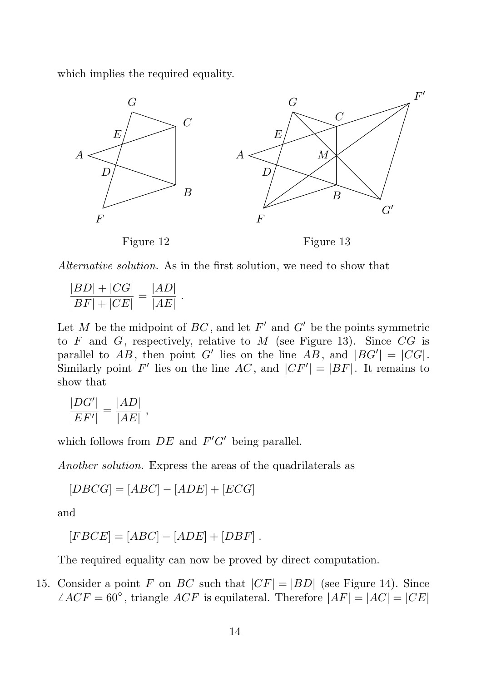which implies the required equality.  $\overline{\nu}$ E F K  $H$ 



Alternative solution. As in the first solution, we need to show that

$$
\frac{|BD| + |CG|}{|BF| + |CE|} = \frac{|AD|}{|AE|}.
$$

Let M be the midpoint of  $BC$ , and let  $F'$  and  $G'$  be the points symmetric to  $F$  and  $G$ , respectively, relative to  $M$  (see Figure 13). Since  $CG$  is parallel to AB, then point G' lies on the line AB, and  $|BG'| = |CG|$ . Similarly point  $F'$  lies on the line  $AC$ , and  $|CF'| = |BF|$ . It remains to show that

$$
\frac{|DG'|}{|EF'|} = \frac{|AD|}{|AE|} ,
$$

which follows from  $DE$  and  $F'G'$  being parallel.

Another solution. Express the areas of the quadrilaterals as

$$
[DBCG] = [ABC] - [ADE] + [ECG]
$$

and

$$
[FBCE] = [ABC] - [ADE] + [DBF].
$$

The required equality can now be proved by direct computation.

15. Consider a point F on BC such that  $|CF| = |BD|$  (see Figure 14). Since  $\angle ACF = 60^{\circ}$ , triangle  $ACF$  is equilateral. Therefore  $|AF| = |AC| = |CE|$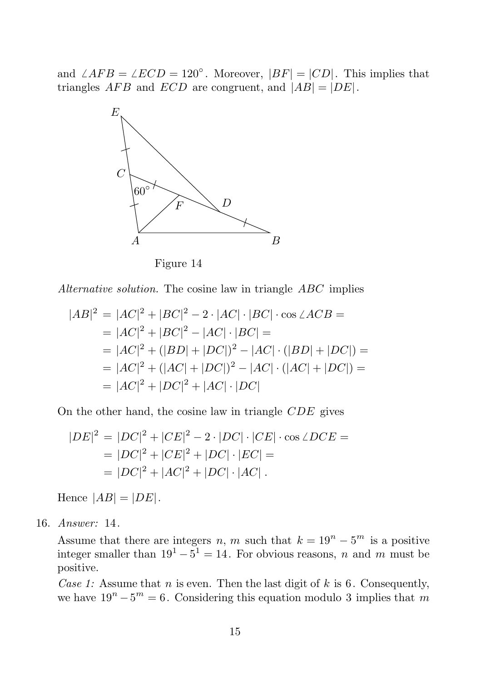I A B  $\overline{C}$ 

and  $\angle A \overline{E} B = \angle ECD = 120^\circ$ . Moreover,  $|BF| = |CD|$ . This implies that triangles  $AFB$  and  $ECD$  are congruent, and  $|AB| = |DE|$ .  $\overline{D}$ 



Figure 14

Alternative solution. The cosine law in triangle ABC implies

$$
|AB|^2 = |AC|^2 + |BC|^2 - 2 \cdot |AC| \cdot |BC| \cdot \cos \angle ACB =
$$
  
=  $|AC|^2 + |BC|^2 - |AC| \cdot |BC| =$   
=  $|AC|^2 + (|BD| + |DC|)^2 - |AC| \cdot (|BD| + |DC|) =$   
=  $|AC|^2 + (|AC| + |DC|)^2 - |AC| \cdot (|AC| + |DC|) =$   
=  $|AC|^2 + |DC|^2 + |AC| \cdot |DC|$ 

On the other hand, the cosine law in triangle CDE gives

$$
|DE|^2 = |DC|^2 + |CE|^2 - 2 \cdot |DC| \cdot |CE| \cdot \cos \angle DCE =
$$
  
= |DC|^2 + |CE|^2 + |DC| \cdot |EC| =  
= |DC|^2 + |AC|^2 + |DC| \cdot |AC|.

Hence  $|AB| = |DE|$ .

16. Answer: 14.

Assume that there are integers n, m such that  $k = 19^n - 5^m$  is a positive integer smaller than  $19^1 - 5^1 = 14$ . For obvious reasons, n and m must be positive.

Case 1: Assume that n is even. Then the last digit of  $k$  is 6. Consequently, we have  $19^n - 5^m = 6$ . Considering this equation modulo 3 implies that m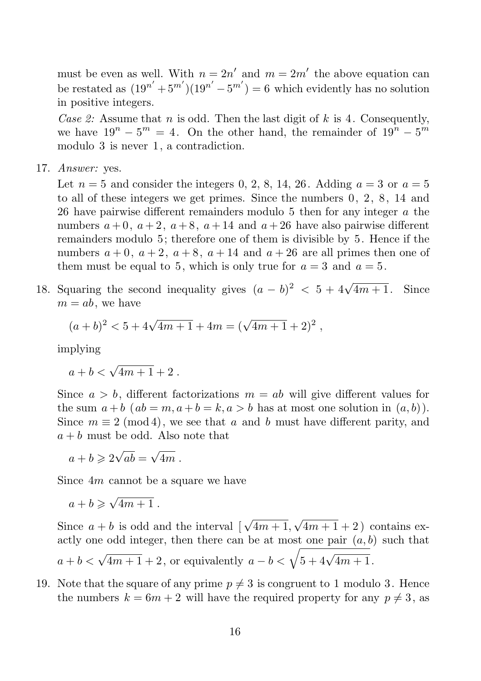must be even as well. With  $n = 2n'$  and  $m = 2m'$  the above equation can be restated as  $(19^{n'} + 5^{m'}) (19^{n'} - 5^{m'}) = 6$  which evidently has no solution in positive integers.

Case 2: Assume that n is odd. Then the last digit of k is 4. Consequently, we have  $19^n - 5^m = 4$ . On the other hand, the remainder of  $19^n - 5^m$ modulo 3 is never 1, a contradiction.

17. Answer: yes.

Let  $n = 5$  and consider the integers 0, 2, 8, 14, 26. Adding  $a = 3$  or  $a = 5$ to all of these integers we get primes. Since the numbers 0, 2, 8, 14 and 26 have pairwise different remainders modulo 5 then for any integer a the numbers  $a + 0$ ,  $a + 2$ ,  $a + 8$ ,  $a + 14$  and  $a + 26$  have also pairwise different remainders modulo 5; therefore one of them is divisible by 5. Hence if the numbers  $a + 0$ ,  $a + 2$ ,  $a + 8$ ,  $a + 14$  and  $a + 26$  are all primes then one of them must be equal to 5, which is only true for  $a = 3$  and  $a = 5$ .

18. Squaring the second inequality gives  $(a - b)^2 < 5 + 4\sqrt{4m + 1}$ . Since  $m = ab$ , we have

$$
(a+b)^2 < 5 + 4\sqrt{4m+1} + 4m = (\sqrt{4m+1} + 2)^2 ,
$$

implying

 $a + b < \sqrt{4m + 1} + 2$ .

Since  $a > b$ , different factorizations  $m = ab$  will give different values for the sum  $a + b$  ( $ab = m, a + b = k, a > b$  has at most one solution in  $(a, b)$ ). Since  $m \equiv 2 \pmod{4}$ , we see that a and b must have different parity, and  $a + b$  must be odd. Also note that

 $a+b\geqslant 2\sqrt{ab}=\sqrt{4m}$ .

Since 4m cannot be a square we have

 $a+b\geqslant \sqrt{4m+1}$ .

Since  $a + b$  is odd and the interval  $\left[\sqrt{4m+1}, \sqrt{4m+1} + 2\right)$  contains exactly one odd integer, then there can be at most one pair  $(a, b)$  such that  $a + b < \sqrt{4m + 1} + 2$ , or equivalently  $a - b < \sqrt{5 + 4\sqrt{4m + 1}}$ .

19. Note that the square of any prime  $p \neq 3$  is congruent to 1 modulo 3. Hence the numbers  $k = 6m + 2$  will have the required property for any  $p \neq 3$ , as